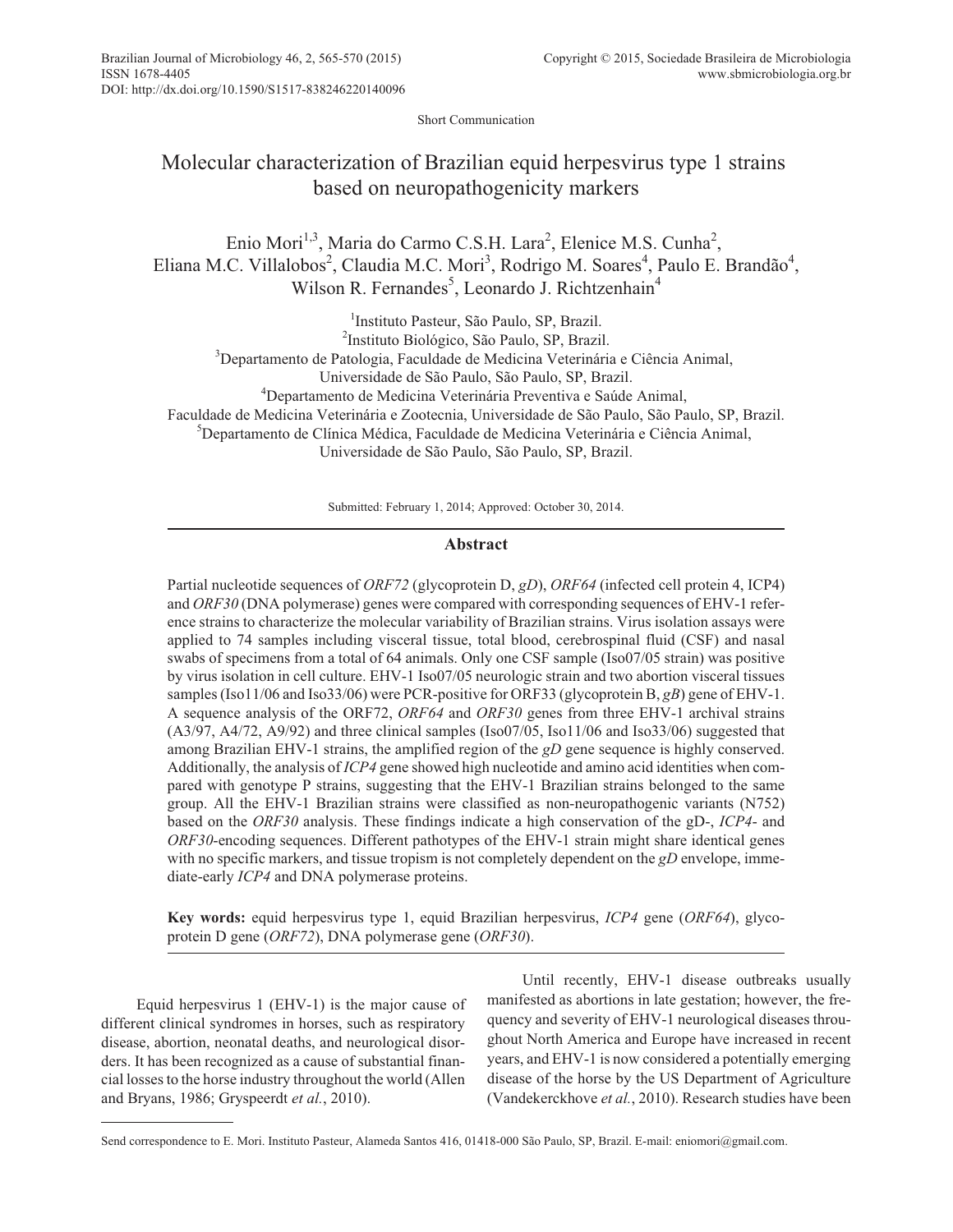Short Communication

# Molecular characterization of Brazilian equid herpesvirus type 1 strains based on neuropathogenicity markers

Enio Mori<sup>1,3</sup>, Maria do Carmo C.S.H. Lara<sup>2</sup>, Elenice M.S. Cunha<sup>2</sup>, Eliana M.C. Villalobos<sup>2</sup>, Claudia M.C. Mori<sup>3</sup>, Rodrigo M. Soares<sup>4</sup>, Paulo E. Brandão<sup>4</sup>, Wilson R. Fernandes<sup>5</sup>, Leonardo J. Richtzenhain<sup>4</sup>

1 Instituto Pasteur, São Paulo, SP, Brazil.

2 Instituto Biológico, São Paulo, SP, Brazil.

<sup>3</sup>Departamento de Patologia, Faculdade de Medicina Veterinária e Ciência Animal,

Universidade de São Paulo, São Paulo, SP, Brazil.

4 Departamento de Medicina Veterinária Preventiva e Saúde Animal,

Faculdade de Medicina Veterinária e Zootecnia, Universidade de São Paulo, São Paulo, SP, Brazil.

5 Departamento de Clínica Médica, Faculdade de Medicina Veterinária e Ciência Animal,

Universidade de São Paulo, São Paulo, SP, Brazil.

Submitted: February 1, 2014; Approved: October 30, 2014.

## **Abstract**

Partial nucleotide sequences of *ORF72* (glycoprotein D, *gD*), *ORF64* (infected cell protein 4, ICP4) and *ORF30* (DNA polymerase) genes were compared with corresponding sequences of EHV-1 reference strains to characterize the molecular variability of Brazilian strains. Virus isolation assays were applied to 74 samples including visceral tissue, total blood, cerebrospinal fluid (CSF) and nasal swabs of specimens from a total of 64 animals. Only one CSF sample (Iso07/05 strain) was positive by virus isolation in cell culture. EHV-1 Iso07/05 neurologic strain and two abortion visceral tissues samples (Iso11/06 and Iso33/06) were PCR-positive for ORF33 (glycoprotein B, *gB*) gene of EHV-1. A sequence analysis of the ORF72, *ORF64* and *ORF30* genes from three EHV-1 archival strains (A3/97, A4/72, A9/92) and three clinical samples (Iso07/05, Iso11/06 and Iso33/06) suggested that among Brazilian EHV-1 strains, the amplified region of the *gD* gene sequence is highly conserved. Additionally, the analysis of *ICP4* gene showed high nucleotide and amino acid identities when compared with genotype P strains, suggesting that the EHV-1 Brazilian strains belonged to the same group. All the EHV-1 Brazilian strains were classified as non-neuropathogenic variants (N752) based on the *ORF30* analysis. These findings indicate a high conservation of the gD-, *ICP4*- and *ORF30*-encoding sequences. Different pathotypes of the EHV-1 strain might share identical genes with no specific markers, and tissue tropism is not completely dependent on the *gD* envelope, immediate-early *ICP4* and DNA polymerase proteins.

**Key words:** equid herpesvirus type 1, equid Brazilian herpesvirus, *ICP4* gene (*ORF64*), glycoprotein D gene (*ORF72*), DNA polymerase gene (*ORF30*).

Equid herpesvirus 1 (EHV-1) is the major cause of different clinical syndromes in horses, such as respiratory disease, abortion, neonatal deaths, and neurological disorders. It has been recognized as a cause of substantial financial losses to the horse industry throughout the world (Allen and Bryans, 1986; Gryspeerdt *et al.*, 2010).

Until recently, EHV-1 disease outbreaks usually manifested as abortions in late gestation; however, the frequency and severity of EHV-1 neurological diseases throughout North America and Europe have increased in recent years, and EHV-1 is now considered a potentially emerging disease of the horse by the US Department of Agriculture (Vandekerckhove *et al.*, 2010). Research studies have been

Send correspondence to E. Mori. Instituto Pasteur, Alameda Santos 416, 01418-000 São Paulo, SP, Brazil. E-mail: eniomori@gmail.com.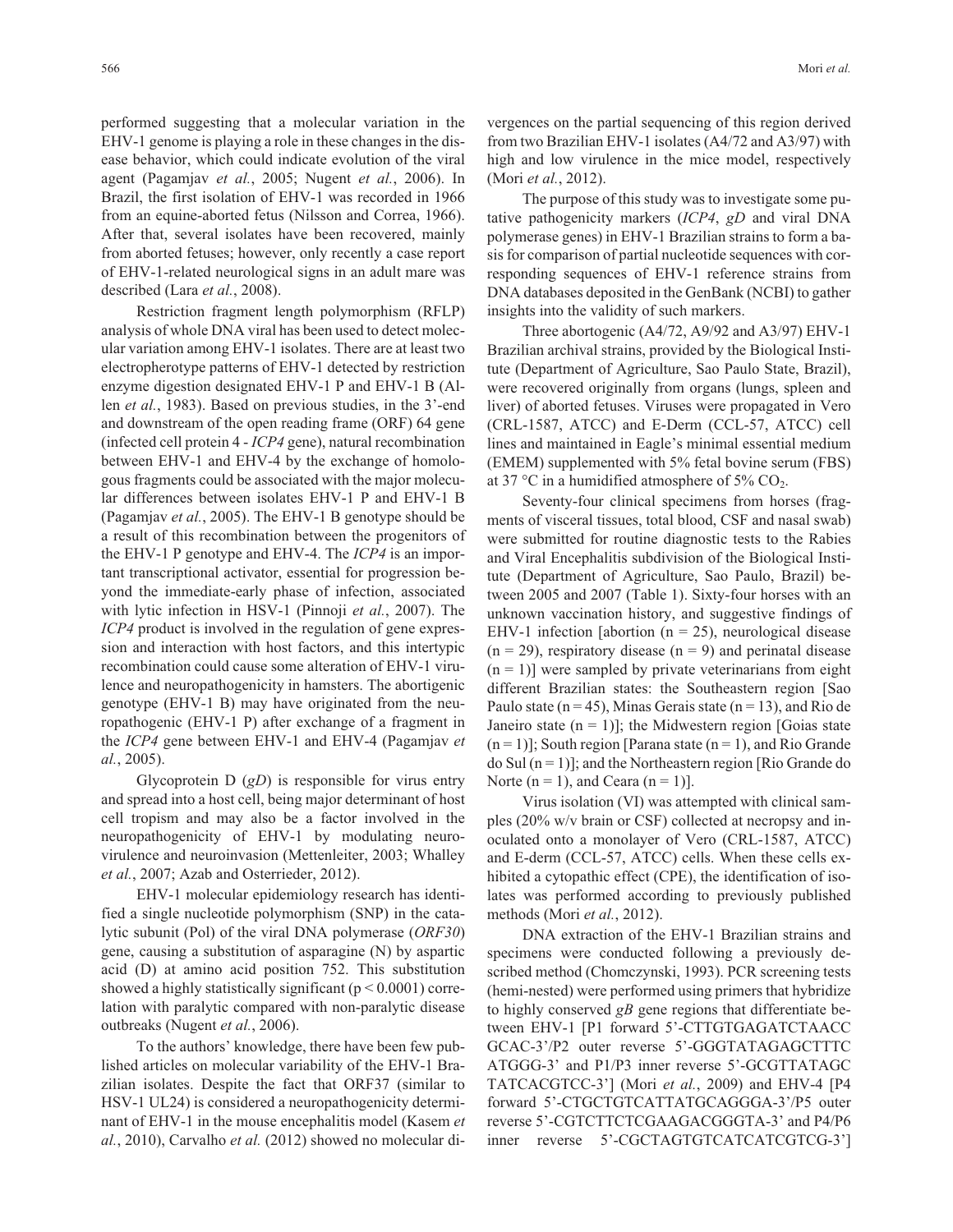performed suggesting that a molecular variation in the EHV-1 genome is playing a role in these changes in the disease behavior, which could indicate evolution of the viral agent (Pagamjav *et al.*, 2005; Nugent *et al.*, 2006). In Brazil, the first isolation of EHV-1 was recorded in 1966 from an equine-aborted fetus (Nilsson and Correa, 1966). After that, several isolates have been recovered, mainly from aborted fetuses; however, only recently a case report of EHV-1-related neurological signs in an adult mare was described (Lara *et al.*, 2008).

Restriction fragment length polymorphism (RFLP) analysis of whole DNA viral has been used to detect molecular variation among EHV-1 isolates. There are at least two electropherotype patterns of EHV-1 detected by restriction enzyme digestion designated EHV-1 P and EHV-1 B (Allen *et al.*, 1983). Based on previous studies, in the 3'-end and downstream of the open reading frame (ORF) 64 gene (infected cell protein 4 - *ICP4* gene), natural recombination between EHV-1 and EHV-4 by the exchange of homologous fragments could be associated with the major molecular differences between isolates EHV-1 P and EHV-1 B (Pagamjav *et al.*, 2005). The EHV-1 B genotype should be a result of this recombination between the progenitors of the EHV-1 P genotype and EHV-4. The *ICP4* is an important transcriptional activator, essential for progression beyond the immediate-early phase of infection, associated with lytic infection in HSV-1 (Pinnoji *et al.*, 2007). The *ICP4* product is involved in the regulation of gene expression and interaction with host factors, and this intertypic recombination could cause some alteration of EHV-1 virulence and neuropathogenicity in hamsters. The abortigenic genotype (EHV-1 B) may have originated from the neuropathogenic (EHV-1 P) after exchange of a fragment in the *ICP4* gene between EHV-1 and EHV-4 (Pagamjav *et al.*, 2005).

Glycoprotein D (*gD*) is responsible for virus entry and spread into a host cell, being major determinant of host cell tropism and may also be a factor involved in the neuropathogenicity of EHV-1 by modulating neurovirulence and neuroinvasion (Mettenleiter, 2003; Whalley *et al.*, 2007; Azab and Osterrieder, 2012).

EHV-1 molecular epidemiology research has identified a single nucleotide polymorphism (SNP) in the catalytic subunit (Pol) of the viral DNA polymerase (*ORF30*) gene, causing a substitution of asparagine (N) by aspartic acid (D) at amino acid position 752. This substitution showed a highly statistically significant ( $p < 0.0001$ ) correlation with paralytic compared with non-paralytic disease outbreaks (Nugent *et al.*, 2006).

To the authors' knowledge, there have been few published articles on molecular variability of the EHV-1 Brazilian isolates. Despite the fact that ORF37 (similar to HSV-1 UL24) is considered a neuropathogenicity determinant of EHV-1 in the mouse encephalitis model (Kasem *et al.*, 2010), Carvalho *et al.* (2012) showed no molecular divergences on the partial sequencing of this region derived from two Brazilian EHV-1 isolates (A4/72 and A3/97) with high and low virulence in the mice model, respectively (Mori *et al.*, 2012).

The purpose of this study was to investigate some putative pathogenicity markers (*ICP4*, *gD* and viral DNA polymerase genes) in EHV-1 Brazilian strains to form a basis for comparison of partial nucleotide sequences with corresponding sequences of EHV-1 reference strains from DNA databases deposited in the GenBank (NCBI) to gather insights into the validity of such markers.

Three abortogenic (A4/72, A9/92 and A3/97) EHV-1 Brazilian archival strains, provided by the Biological Institute (Department of Agriculture, Sao Paulo State, Brazil), were recovered originally from organs (lungs, spleen and liver) of aborted fetuses. Viruses were propagated in Vero (CRL-1587, ATCC) and E-Derm (CCL-57, ATCC) cell lines and maintained in Eagle's minimal essential medium (EMEM) supplemented with 5% fetal bovine serum (FBS) at 37 °C in a humidified atmosphere of 5%  $CO<sub>2</sub>$ .

Seventy-four clinical specimens from horses (fragments of visceral tissues, total blood, CSF and nasal swab) were submitted for routine diagnostic tests to the Rabies and Viral Encephalitis subdivision of the Biological Institute (Department of Agriculture, Sao Paulo, Brazil) between 2005 and 2007 (Table 1). Sixty-four horses with an unknown vaccination history, and suggestive findings of EHV-1 infection [abortion ( $n = 25$ ), neurological disease  $(n = 29)$ , respiratory disease  $(n = 9)$  and perinatal disease  $(n = 1)$ ] were sampled by private veterinarians from eight different Brazilian states: the Southeastern region [Sao Paulo state ( $n = 45$ ), Minas Gerais state ( $n = 13$ ), and Rio de Janeiro state  $(n = 1)$ ]; the Midwestern region [Goias state  $(n = 1)$ ]; South region [Parana state  $(n = 1)$ , and Rio Grande do Sul  $(n = 1)$ ; and the Northeastern region [Rio Grande do Norte ( $n = 1$ ), and Ceara ( $n = 1$ )].

Virus isolation (VI) was attempted with clinical samples (20% w/v brain or CSF) collected at necropsy and inoculated onto a monolayer of Vero (CRL-1587, ATCC) and E-derm (CCL-57, ATCC) cells. When these cells exhibited a cytopathic effect (CPE), the identification of isolates was performed according to previously published methods (Mori *et al.*, 2012).

DNA extraction of the EHV-1 Brazilian strains and specimens were conducted following a previously described method (Chomczynski, 1993). PCR screening tests (hemi-nested) were performed using primers that hybridize to highly conserved *gB* gene regions that differentiate between EHV-1 [P1 forward 5'-CTTGTGAGATCTAACC GCAC-3'/P2 outer reverse 5'-GGGTATAGAGCTTTC ATGGG-3' and P1/P3 inner reverse 5'-GCGTTATAGC TATCACGTCC-3'] (Mori *et al.*, 2009) and EHV-4 [P4 forward 5'-CTGCTGTCATTATGCAGGGA-3'/P5 outer reverse 5'-CGTCTTCTCGAAGACGGGTA-3' and P4/P6 inner reverse 5'-CGCTAGTGTCATCATCGTCG-3']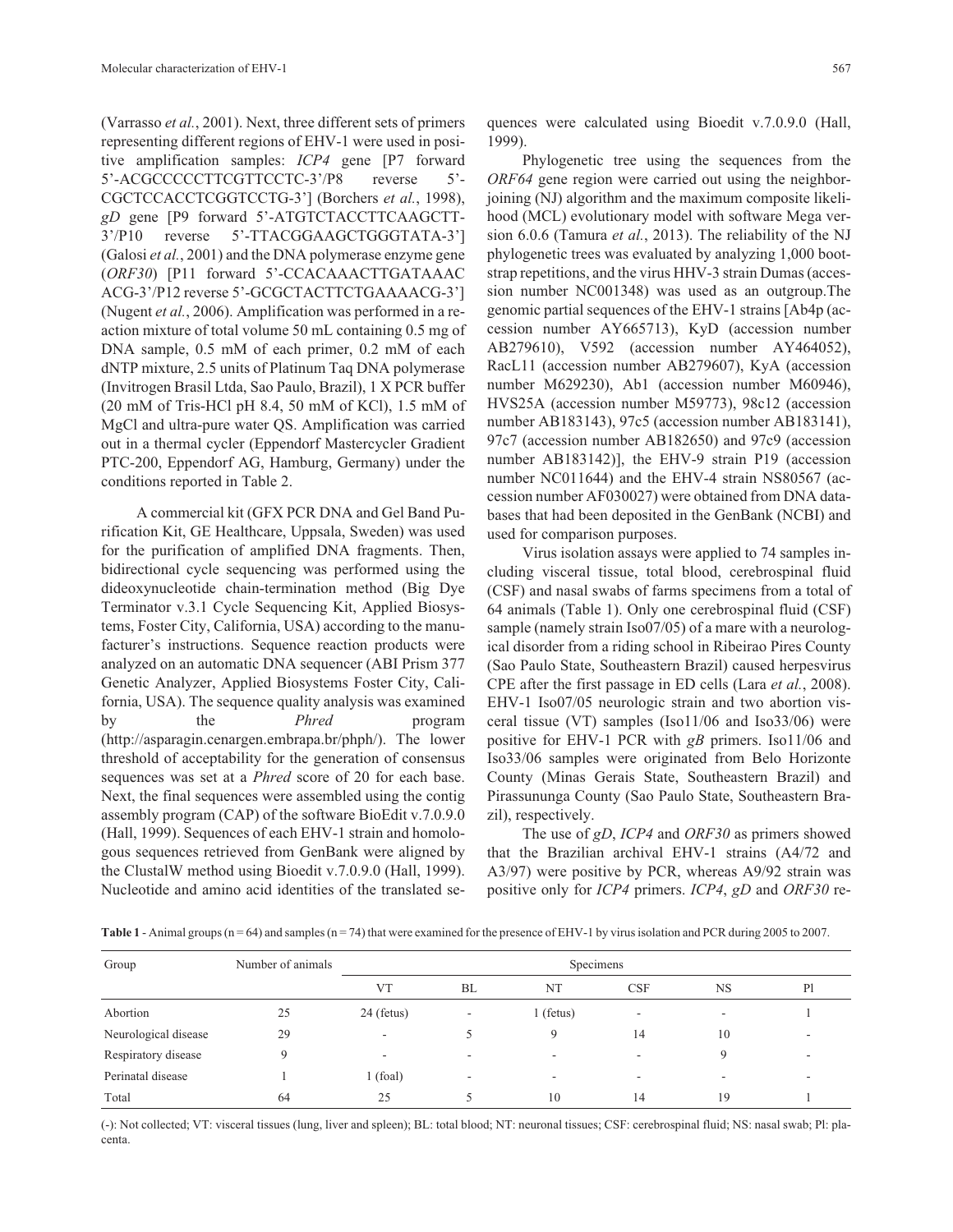(Varrasso *et al.*, 2001). Next, three different sets of primers representing different regions of EHV-1 were used in positive amplification samples: *ICP4* gene [P7 forward 5'-ACGCCCCCTTCGTTCCTC-3'/P8 reverse 5'- CGCTCCACCTCGGTCCTG-3'] (Borchers *et al.*, 1998), *gD* gene [P9 forward 5'-ATGTCTACCTTCAAGCTT-3'/P10 reverse 5'-TTACGGAAGCTGGGTATA-3'] (Galosi *et al.*, 2001) and the DNA polymerase enzyme gene (*ORF30*) [P11 forward 5'-CCACAAACTTGATAAAC ACG-3'/P12 reverse 5'-GCGCTACTTCTGAAAACG-3'] (Nugent *et al.*, 2006). Amplification was performed in a reaction mixture of total volume 50 mL containing 0.5 mg of DNA sample, 0.5 mM of each primer, 0.2 mM of each dNTP mixture, 2.5 units of Platinum Taq DNA polymerase (Invitrogen Brasil Ltda, Sao Paulo, Brazil), 1 X PCR buffer (20 mM of Tris-HCl pH 8.4, 50 mM of KCl), 1.5 mM of MgCl and ultra-pure water QS. Amplification was carried out in a thermal cycler (Eppendorf Mastercycler Gradient PTC-200, Eppendorf AG, Hamburg, Germany) under the conditions reported in Table 2.

A commercial kit (GFX PCR DNA and Gel Band Purification Kit, GE Healthcare, Uppsala, Sweden) was used for the purification of amplified DNA fragments. Then, bidirectional cycle sequencing was performed using the dideoxynucleotide chain-termination method (Big Dye Terminator v.3.1 Cycle Sequencing Kit, Applied Biosystems, Foster City, California, USA) according to the manufacturer's instructions. Sequence reaction products were analyzed on an automatic DNA sequencer (ABI Prism 377 Genetic Analyzer, Applied Biosystems Foster City, California, USA). The sequence quality analysis was examined by the *Phred* program (http://asparagin.cenargen.embrapa.br/phph/). The lower threshold of acceptability for the generation of consensus sequences was set at a *Phred* score of 20 for each base. Next, the final sequences were assembled using the contig assembly program (CAP) of the software BioEdit v.7.0.9.0 (Hall, 1999). Sequences of each EHV-1 strain and homologous sequences retrieved from GenBank were aligned by the ClustalW method using Bioedit v.7.0.9.0 (Hall, 1999). Nucleotide and amino acid identities of the translated sequences were calculated using Bioedit v.7.0.9.0 (Hall, 1999).

Phylogenetic tree using the sequences from the *ORF64* gene region were carried out using the neighborjoining (NJ) algorithm and the maximum composite likelihood (MCL) evolutionary model with software Mega version 6.0.6 (Tamura *et al.*, 2013). The reliability of the NJ phylogenetic trees was evaluated by analyzing 1,000 bootstrap repetitions, and the virus HHV-3 strain Dumas (accession number NC001348) was used as an outgroup.The genomic partial sequences of the EHV-1 strains [Ab4p (accession number AY665713), KyD (accession number AB279610), V592 (accession number AY464052), RacL11 (accession number AB279607), KyA (accession number M629230), Ab1 (accession number M60946), HVS25A (accession number M59773), 98c12 (accession number AB183143), 97c5 (accession number AB183141), 97c7 (accession number AB182650) and 97c9 (accession number AB183142)], the EHV-9 strain P19 (accession number NC011644) and the EHV-4 strain NS80567 (accession number AF030027) were obtained from DNA databases that had been deposited in the GenBank (NCBI) and used for comparison purposes.

Virus isolation assays were applied to 74 samples including visceral tissue, total blood, cerebrospinal fluid (CSF) and nasal swabs of farms specimens from a total of 64 animals (Table 1). Only one cerebrospinal fluid (CSF) sample (namely strain Iso07/05) of a mare with a neurological disorder from a riding school in Ribeirao Pires County (Sao Paulo State, Southeastern Brazil) caused herpesvirus CPE after the first passage in ED cells (Lara *et al.*, 2008). EHV-1 Iso07/05 neurologic strain and two abortion visceral tissue (VT) samples (Iso11/06 and Iso33/06) were positive for EHV-1 PCR with *gB* primers. Iso11/06 and Iso33/06 samples were originated from Belo Horizonte County (Minas Gerais State, Southeastern Brazil) and Pirassununga County (Sao Paulo State, Southeastern Brazil), respectively.

The use of *gD*, *ICP4* and *ORF30* as primers showed that the Brazilian archival EHV-1 strains (A4/72 and A3/97) were positive by PCR, whereas A9/92 strain was positive only for *ICP4* primers. *ICP4*, *gD* and *ORF30* re-

**Table 1** - Animal groups (n = 64) and samples (n = 74) that were examined for the presence of EHV-1 by virus isolation and PCR during 2005 to 2007.

| Group                | Number of animals | Specimens                |    |                          |                          |                          |                |  |
|----------------------|-------------------|--------------------------|----|--------------------------|--------------------------|--------------------------|----------------|--|
|                      |                   | <b>VT</b>                | BL | NT                       | <b>CSF</b>               | <b>NS</b>                | P <sub>1</sub> |  |
| Abortion             | 25                | $24$ (fetus)             | ۰  | $l$ (fetus)              | $\overline{\phantom{a}}$ | $\overline{\phantom{a}}$ |                |  |
| Neurological disease | 29                | $\overline{\phantom{a}}$ |    | 9                        | 14                       | 10                       |                |  |
| Respiratory disease  | $\mathbf Q$       | ۰                        | ۰  | $\overline{\phantom{a}}$ |                          | Q                        |                |  |
| Perinatal disease    |                   | 1(foal)                  | -  | -                        |                          | -                        |                |  |
| Total                | 64                | 25                       |    | 10                       | 14                       | 19                       |                |  |

(-): Not collected; VT: visceral tissues (lung, liver and spleen); BL: total blood; NT: neuronal tissues; CSF: cerebrospinal fluid; NS: nasal swab; Pl: placenta.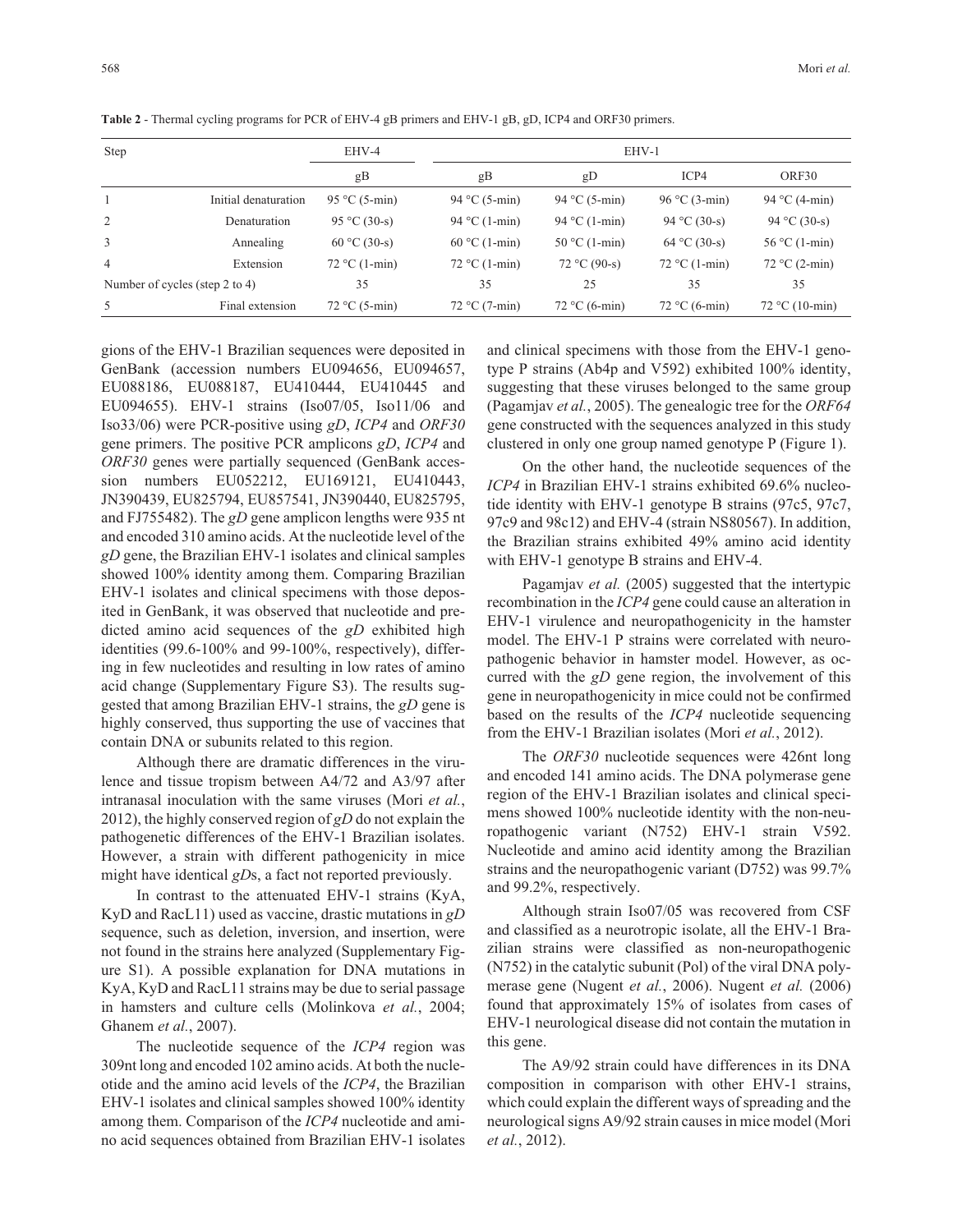| Step                           |                      | EHV-4           | EHV-1           |                 |                 |                  |  |
|--------------------------------|----------------------|-----------------|-----------------|-----------------|-----------------|------------------|--|
|                                |                      | gB              | gB              | gD              | ICP4            | ORF30            |  |
|                                | Initial denaturation | 95 °C (5-min)   | 94 °C (5-min)   | 94 °C (5-min)   | 96 °C (3-min)   | 94 °C (4-min)    |  |
| 2                              | Denaturation         | 95 °C (30-s)    | 94 °C (1-min)   | 94 °C $(1-min)$ | 94 °C (30-s)    | 94 °C (30-s)     |  |
| 3                              | Annealing            | 60 °C (30-s)    | 60 °C (1-min)   | $50 °C$ (1-min) | 64 °C (30-s)    | $56 °C$ (1-min)  |  |
| $\overline{4}$                 | Extension            | $72 °C$ (1-min) | $72 °C$ (1-min) | $72 °C (90-s)$  | $72 °C$ (1-min) | $72 °C$ (2-min)  |  |
| Number of cycles (step 2 to 4) |                      | 35              | 35              | 25              | 35              | 35               |  |
| 5                              | Final extension      | $72 °C (5-min)$ | $72 °C (7-min)$ | $72 °C (6-min)$ | $72 °C (6-min)$ | $72 °C (10-min)$ |  |

**Table 2** - Thermal cycling programs for PCR of EHV-4 gB primers and EHV-1 gB, gD, ICP4 and ORF30 primers.

gions of the EHV-1 Brazilian sequences were deposited in GenBank (accession numbers EU094656, EU094657, EU088186, EU088187, EU410444, EU410445 and EU094655). EHV-1 strains (Iso07/05, Iso11/06 and Iso33/06) were PCR-positive using *gD*, *ICP4* and *ORF30* gene primers. The positive PCR amplicons *gD*, *ICP4* and *ORF30* genes were partially sequenced (GenBank accession numbers EU052212, EU169121, EU410443, JN390439, EU825794, EU857541, JN390440, EU825795, and FJ755482). The *gD* gene amplicon lengths were 935 nt and encoded 310 amino acids. At the nucleotide level of the *gD* gene, the Brazilian EHV-1 isolates and clinical samples showed 100% identity among them. Comparing Brazilian EHV-1 isolates and clinical specimens with those deposited in GenBank, it was observed that nucleotide and predicted amino acid sequences of the *gD* exhibited high identities (99.6-100% and 99-100%, respectively), differing in few nucleotides and resulting in low rates of amino acid change (Supplementary Figure S3). The results suggested that among Brazilian EHV-1 strains, the *gD* gene is highly conserved, thus supporting the use of vaccines that contain DNA or subunits related to this region.

Although there are dramatic differences in the virulence and tissue tropism between A4/72 and A3/97 after intranasal inoculation with the same viruses (Mori *et al.*, 2012), the highly conserved region of *gD* do not explain the pathogenetic differences of the EHV-1 Brazilian isolates. However, a strain with different pathogenicity in mice might have identical *gD*s, a fact not reported previously.

In contrast to the attenuated EHV-1 strains (KyA, KyD and RacL11) used as vaccine, drastic mutations in *gD* sequence, such as deletion, inversion, and insertion, were not found in the strains here analyzed (Supplementary Figure S1). A possible explanation for DNA mutations in KyA, KyD and RacL11 strains may be due to serial passage in hamsters and culture cells (Molinkova *et al.*, 2004; Ghanem *et al.*, 2007).

The nucleotide sequence of the *ICP4* region was 309nt long and encoded 102 amino acids. At both the nucleotide and the amino acid levels of the *ICP4*, the Brazilian EHV-1 isolates and clinical samples showed 100% identity among them. Comparison of the *ICP4* nucleotide and amino acid sequences obtained from Brazilian EHV-1 isolates and clinical specimens with those from the EHV-1 genotype P strains (Ab4p and V592) exhibited 100% identity, suggesting that these viruses belonged to the same group (Pagamjav *et al.*, 2005). The genealogic tree for the *ORF64* gene constructed with the sequences analyzed in this study clustered in only one group named genotype P (Figure 1).

On the other hand, the nucleotide sequences of the *ICP4* in Brazilian EHV-1 strains exhibited 69.6% nucleotide identity with EHV-1 genotype B strains (97c5, 97c7, 97c9 and 98c12) and EHV-4 (strain NS80567). In addition, the Brazilian strains exhibited 49% amino acid identity with EHV-1 genotype B strains and EHV-4.

Pagamjav *et al.* (2005) suggested that the intertypic recombination in the *ICP4* gene could cause an alteration in EHV-1 virulence and neuropathogenicity in the hamster model. The EHV-1 P strains were correlated with neuropathogenic behavior in hamster model. However, as occurred with the *gD* gene region, the involvement of this gene in neuropathogenicity in mice could not be confirmed based on the results of the *ICP4* nucleotide sequencing from the EHV-1 Brazilian isolates (Mori *et al.*, 2012).

The *ORF30* nucleotide sequences were 426nt long and encoded 141 amino acids. The DNA polymerase gene region of the EHV-1 Brazilian isolates and clinical specimens showed 100% nucleotide identity with the non-neuropathogenic variant (N752) EHV-1 strain V592. Nucleotide and amino acid identity among the Brazilian strains and the neuropathogenic variant (D752) was 99.7% and 99.2%, respectively.

Although strain Iso07/05 was recovered from CSF and classified as a neurotropic isolate, all the EHV-1 Brazilian strains were classified as non-neuropathogenic (N752) in the catalytic subunit (Pol) of the viral DNA polymerase gene (Nugent *et al.*, 2006). Nugent *et al.* (2006) found that approximately 15% of isolates from cases of EHV-1 neurological disease did not contain the mutation in this gene.

The A9/92 strain could have differences in its DNA composition in comparison with other EHV-1 strains, which could explain the different ways of spreading and the neurological signs A9/92 strain causes in mice model (Mori *et al.*, 2012).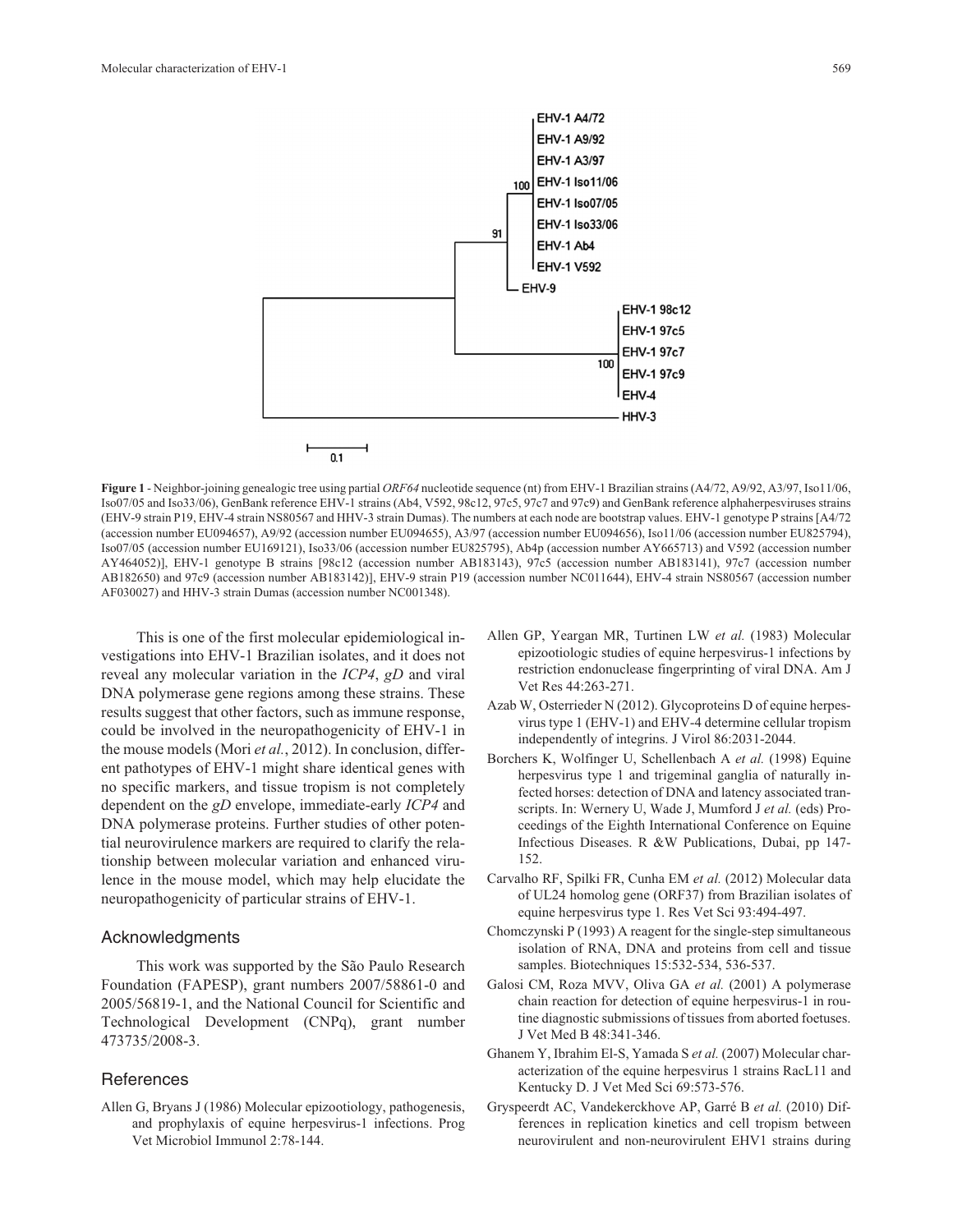

**Figure 1** - Neighbor-joining genealogic tree using partial *ORF64* nucleotide sequence (nt) from EHV-1 Brazilian strains (A4/72, A9/92, A3/97, Iso11/06, Iso07/05 and Iso33/06), GenBank reference EHV-1 strains (Ab4, V592, 98c12, 97c5, 97c7 and 97c9) and GenBank reference alphaherpesviruses strains (EHV-9 strain P19, EHV-4 strain NS80567 and HHV-3 strain Dumas). The numbers at each node are bootstrap values. EHV-1 genotype P strains [A4/72 (accession number EU094657), A9/92 (accession number EU094655), A3/97 (accession number EU094656), Iso11/06 (accession number EU825794), Iso07/05 (accession number EU169121), Iso33/06 (accession number EU825795), Ab4p (accession number AY665713) and V592 (accession number AY464052)], EHV-1 genotype B strains [98c12 (accession number AB183143), 97c5 (accession number AB183141), 97c7 (accession number AB182650) and 97c9 (accession number AB183142)], EHV-9 strain P19 (accession number NC011644), EHV-4 strain NS80567 (accession number AF030027) and HHV-3 strain Dumas (accession number NC001348).

This is one of the first molecular epidemiological investigations into EHV-1 Brazilian isolates, and it does not reveal any molecular variation in the *ICP4*, *gD* and viral DNA polymerase gene regions among these strains. These results suggest that other factors, such as immune response, could be involved in the neuropathogenicity of EHV-1 in the mouse models (Mori *et al.*, 2012). In conclusion, different pathotypes of EHV-1 might share identical genes with no specific markers, and tissue tropism is not completely dependent on the *gD* envelope, immediate-early *ICP4* and DNA polymerase proteins. Further studies of other potential neurovirulence markers are required to clarify the relationship between molecular variation and enhanced virulence in the mouse model, which may help elucidate the neuropathogenicity of particular strains of EHV-1.

#### Acknowledgments

This work was supported by the São Paulo Research Foundation (FAPESP), grant numbers 2007/58861-0 and 2005/56819-1, and the National Council for Scientific and Technological Development (CNPq), grant number 473735/2008-3.

#### **References**

Allen G, Bryans J (1986) Molecular epizootiology, pathogenesis, and prophylaxis of equine herpesvirus-1 infections. Prog Vet Microbiol Immunol 2:78-144.

- Allen GP, Yeargan MR, Turtinen LW *et al.* (1983) Molecular epizootiologic studies of equine herpesvirus-1 infections by restriction endonuclease fingerprinting of viral DNA. Am J Vet Res 44:263-271.
- Azab W, Osterrieder N (2012). Glycoproteins D of equine herpesvirus type 1 (EHV-1) and EHV-4 determine cellular tropism independently of integrins. J Virol 86:2031-2044.
- Borchers K, Wolfinger U, Schellenbach A *et al.* (1998) Equine herpesvirus type 1 and trigeminal ganglia of naturally infected horses: detection of DNA and latency associated transcripts. In: Wernery U, Wade J, Mumford J *et al.* (eds) Proceedings of the Eighth International Conference on Equine Infectious Diseases. R &W Publications, Dubai, pp 147- 152.
- Carvalho RF, Spilki FR, Cunha EM *et al.* (2012) Molecular data of UL24 homolog gene (ORF37) from Brazilian isolates of equine herpesvirus type 1. Res Vet Sci 93:494-497.
- Chomczynski P (1993) A reagent for the single-step simultaneous isolation of RNA, DNA and proteins from cell and tissue samples. Biotechniques 15:532-534, 536-537.
- Galosi CM, Roza MVV, Oliva GA *et al.* (2001) A polymerase chain reaction for detection of equine herpesvirus-1 in routine diagnostic submissions of tissues from aborted foetuses. J Vet Med B 48:341-346.
- Ghanem Y, Ibrahim El-S, Yamada S *et al.* (2007) Molecular characterization of the equine herpesvirus 1 strains RacL11 and Kentucky D. J Vet Med Sci 69:573-576.
- Gryspeerdt AC, Vandekerckhove AP, Garré B *et al.* (2010) Differences in replication kinetics and cell tropism between neurovirulent and non-neurovirulent EHV1 strains during